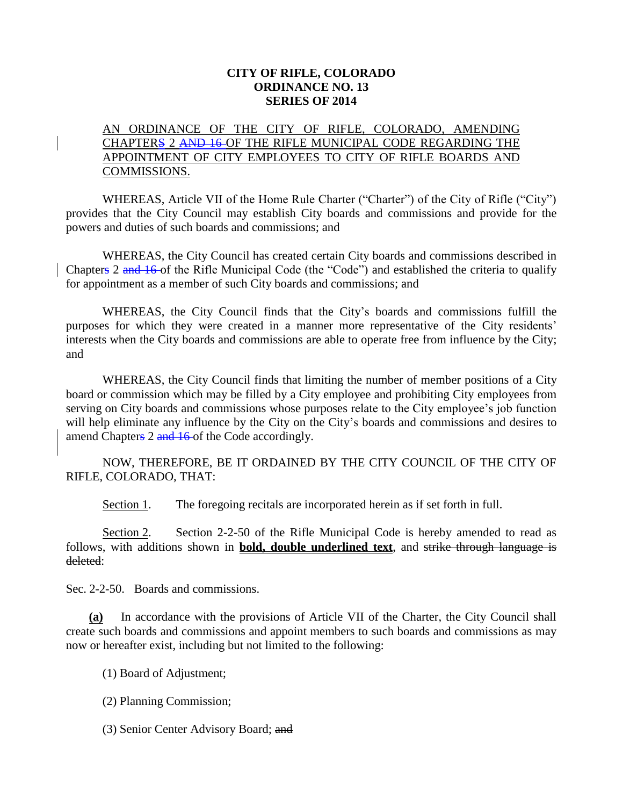#### **CITY OF RIFLE, COLORADO ORDINANCE NO. 13 SERIES OF 2014**

## AN ORDINANCE OF THE CITY OF RIFLE, COLORADO, AMENDING CHAPTERS 2 AND 16 OF THE RIFLE MUNICIPAL CODE REGARDING THE APPOINTMENT OF CITY EMPLOYEES TO CITY OF RIFLE BOARDS AND COMMISSIONS.

WHEREAS, Article VII of the Home Rule Charter ("Charter") of the City of Rifle ("City") provides that the City Council may establish City boards and commissions and provide for the powers and duties of such boards and commissions; and

WHEREAS, the City Council has created certain City boards and commissions described in Chapters 2 and 16 of the Rifle Municipal Code (the "Code") and established the criteria to qualify for appointment as a member of such City boards and commissions; and

WHEREAS, the City Council finds that the City's boards and commissions fulfill the purposes for which they were created in a manner more representative of the City residents' interests when the City boards and commissions are able to operate free from influence by the City; and

WHEREAS, the City Council finds that limiting the number of member positions of a City board or commission which may be filled by a City employee and prohibiting City employees from serving on City boards and commissions whose purposes relate to the City employee's job function will help eliminate any influence by the City on the City's boards and commissions and desires to amend Chapters 2 and 16 of the Code accordingly.

NOW, THEREFORE, BE IT ORDAINED BY THE CITY COUNCIL OF THE CITY OF RIFLE, COLORADO, THAT:

Section 1. The foregoing recitals are incorporated herein as if set forth in full.

Section 2. Section 2-2-50 of the Rifle Municipal Code is hereby amended to read as follows, with additions shown in **bold, double underlined text**, and strike through language is deleted:

Sec. 2-2-50. Boards and commissions.

**(a)** In accordance with the provisions of Article VII of the Charter, the City Council shall create such boards and commissions and appoint members to such boards and commissions as may now or hereafter exist, including but not limited to the following:

(1) Board of Adjustment;

(2) Planning Commission;

(3) Senior Center Advisory Board; and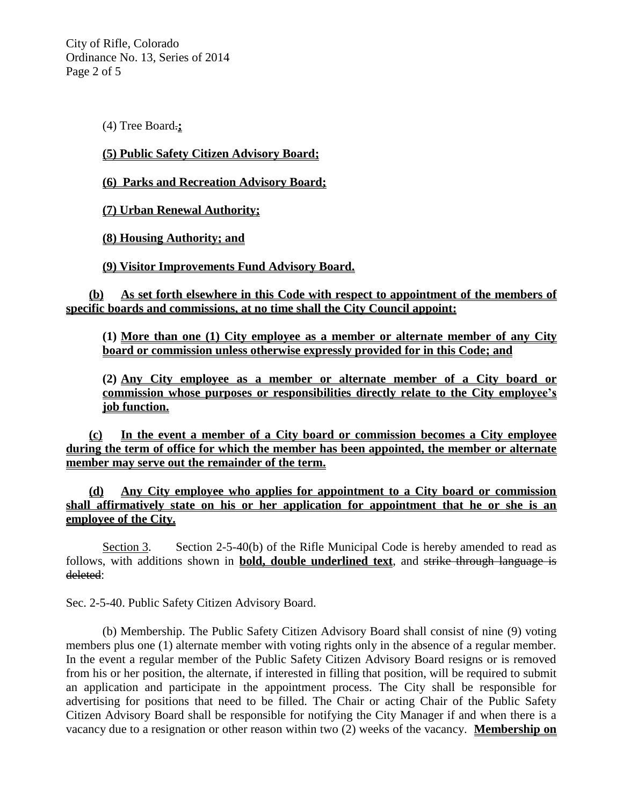City of Rifle, Colorado Ordinance No. 13, Series of 2014 Page 2 of 5

(4) Tree Board.**;**

#### **(5) Public Safety Citizen Advisory Board;**

**(6) Parks and Recreation Advisory Board;**

**(7) Urban Renewal Authority;**

**(8) Housing Authority; and**

**(9) Visitor Improvements Fund Advisory Board.**

**(b) As set forth elsewhere in this Code with respect to appointment of the members of specific boards and commissions, at no time shall the City Council appoint:**

**(1) More than one (1) City employee as a member or alternate member of any City board or commission unless otherwise expressly provided for in this Code; and**

**(2) Any City employee as a member or alternate member of a City board or commission whose purposes or responsibilities directly relate to the City employee's job function.**

**(c) In the event a member of a City board or commission becomes a City employee during the term of office for which the member has been appointed, the member or alternate member may serve out the remainder of the term.** 

**(d) Any City employee who applies for appointment to a City board or commission shall affirmatively state on his or her application for appointment that he or she is an employee of the City.**

Section 3. Section 2-5-40(b) of the Rifle Municipal Code is hereby amended to read as follows, with additions shown in **bold, double underlined text**, and strike through language is deleted:

Sec. 2-5-40. Public Safety Citizen Advisory Board.

(b) Membership. The Public Safety Citizen Advisory Board shall consist of nine (9) voting members plus one (1) alternate member with voting rights only in the absence of a regular member. In the event a regular member of the Public Safety Citizen Advisory Board resigns or is removed from his or her position, the alternate, if interested in filling that position, will be required to submit an application and participate in the appointment process. The City shall be responsible for advertising for positions that need to be filled. The Chair or acting Chair of the Public Safety Citizen Advisory Board shall be responsible for notifying the City Manager if and when there is a vacancy due to a resignation or other reason within two (2) weeks of the vacancy. **Membership on**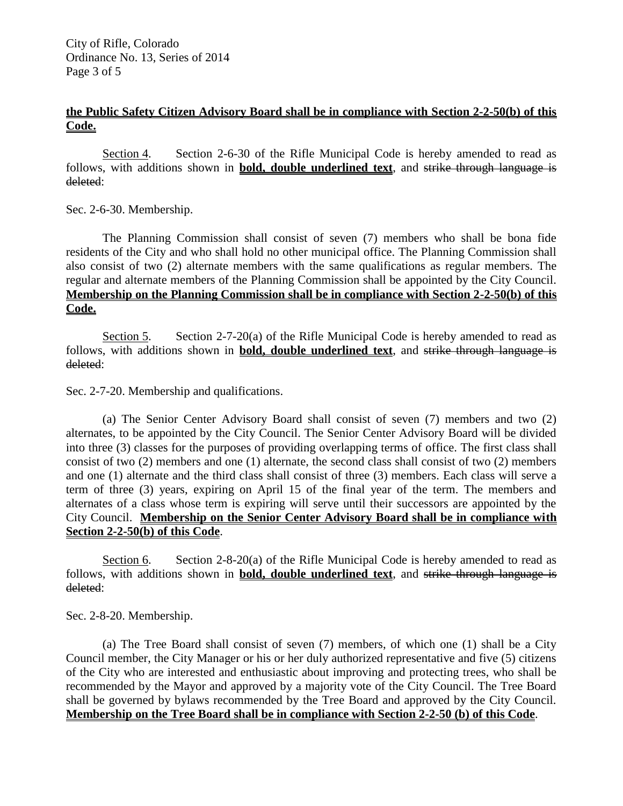City of Rifle, Colorado Ordinance No. 13, Series of 2014 Page 3 of 5

### **the Public Safety Citizen Advisory Board shall be in compliance with Section 2-2-50(b) of this Code.**

Section 4. Section 2-6-30 of the Rifle Municipal Code is hereby amended to read as follows, with additions shown in **bold, double underlined text**, and strike through language is deleted:

Sec. 2-6-30. Membership.

The Planning Commission shall consist of seven (7) members who shall be bona fide residents of the City and who shall hold no other municipal office. The Planning Commission shall also consist of two (2) alternate members with the same qualifications as regular members. The regular and alternate members of the Planning Commission shall be appointed by the City Council. **Membership on the Planning Commission shall be in compliance with Section 2-2-50(b) of this Code.**

Section 5. Section 2-7-20(a) of the Rifle Municipal Code is hereby amended to read as follows, with additions shown in **bold, double underlined text**, and strike through language is deleted:

Sec. 2-7-20. Membership and qualifications.

(a) The Senior Center Advisory Board shall consist of seven (7) members and two (2) alternates, to be appointed by the City Council. The Senior Center Advisory Board will be divided into three (3) classes for the purposes of providing overlapping terms of office. The first class shall consist of two (2) members and one (1) alternate, the second class shall consist of two (2) members and one (1) alternate and the third class shall consist of three (3) members. Each class will serve a term of three (3) years, expiring on April 15 of the final year of the term. The members and alternates of a class whose term is expiring will serve until their successors are appointed by the City Council. **Membership on the Senior Center Advisory Board shall be in compliance with Section 2-2-50(b) of this Code**.

Section 6. Section 2-8-20(a) of the Rifle Municipal Code is hereby amended to read as follows, with additions shown in **bold, double underlined text**, and strike through language is deleted:

Sec. 2-8-20. Membership.

(a) The Tree Board shall consist of seven (7) members, of which one (1) shall be a City Council member, the City Manager or his or her duly authorized representative and five (5) citizens of the City who are interested and enthusiastic about improving and protecting trees, who shall be recommended by the Mayor and approved by a majority vote of the City Council. The Tree Board shall be governed by bylaws recommended by the Tree Board and approved by the City Council. **Membership on the Tree Board shall be in compliance with Section 2-2-50 (b) of this Code**.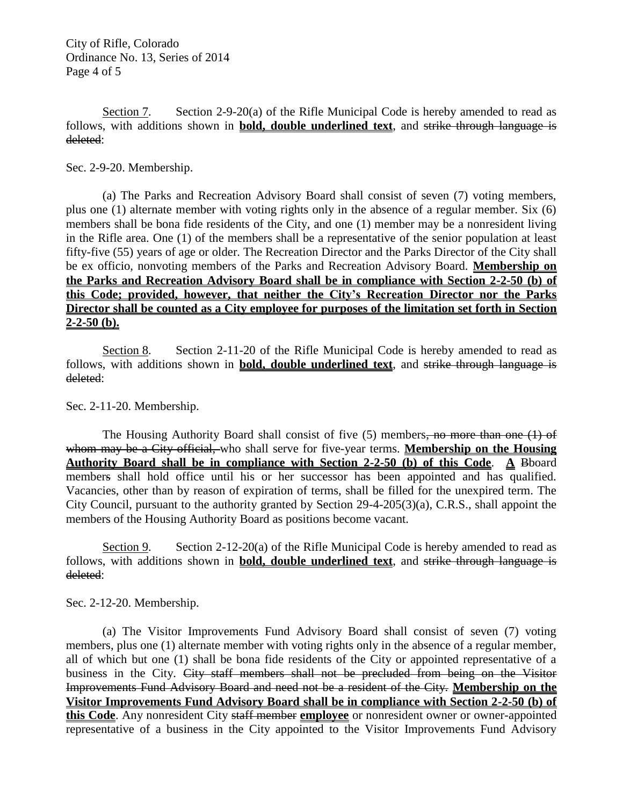City of Rifle, Colorado Ordinance No. 13, Series of 2014 Page 4 of 5

Section 7. Section 2-9-20(a) of the Rifle Municipal Code is hereby amended to read as follows, with additions shown in **bold, double underlined text**, and strike through language is deleted:

Sec. 2-9-20. Membership.

(a) The Parks and Recreation Advisory Board shall consist of seven (7) voting members, plus one (1) alternate member with voting rights only in the absence of a regular member. Six (6) members shall be bona fide residents of the City, and one (1) member may be a nonresident living in the Rifle area. One (1) of the members shall be a representative of the senior population at least fifty-five (55) years of age or older. The Recreation Director and the Parks Director of the City shall be ex officio, nonvoting members of the Parks and Recreation Advisory Board. **Membership on the Parks and Recreation Advisory Board shall be in compliance with Section 2-2-50 (b) of this Code; provided, however, that neither the City's Recreation Director nor the Parks Director shall be counted as a City employee for purposes of the limitation set forth in Section 2-2-50 (b).**

Section 8. Section 2-11-20 of the Rifle Municipal Code is hereby amended to read as follows, with additions shown in **bold, double underlined text**, and strike through language is deleted:

Sec. 2-11-20. Membership.

The Housing Authority Board shall consist of five (5) members, no more than one (1) of whom may be a City official, who shall serve for five-year terms. **Membership on the Housing Authority Board shall be in compliance with Section 2-2-50 (b) of this Code**. **A** Bboard members shall hold office until his or her successor has been appointed and has qualified. Vacancies, other than by reason of expiration of terms, shall be filled for the unexpired term. The City Council, pursuant to the authority granted by Section 29-4-205(3)(a), C.R.S., shall appoint the members of the Housing Authority Board as positions become vacant.

Section 9. Section 2-12-20(a) of the Rifle Municipal Code is hereby amended to read as follows, with additions shown in **bold, double underlined text**, and strike through language is deleted:

Sec. 2-12-20. Membership.

(a) The Visitor Improvements Fund Advisory Board shall consist of seven (7) voting members, plus one (1) alternate member with voting rights only in the absence of a regular member, all of which but one (1) shall be bona fide residents of the City or appointed representative of a business in the City. City staff members shall not be precluded from being on the Visitor Improvements Fund Advisory Board and need not be a resident of the City. **Membership on the Visitor Improvements Fund Advisory Board shall be in compliance with Section 2-2-50 (b) of this Code**. Any nonresident City staff member **employee** or nonresident owner or owner-appointed representative of a business in the City appointed to the Visitor Improvements Fund Advisory